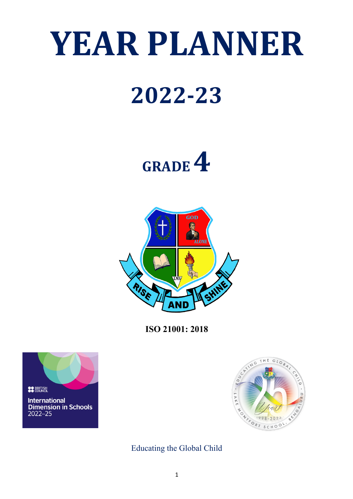# **YEAR PLANNER**

# **2022-23**

# **GRADE 4**



**ISO 21001: 2018**





Educating the Global Child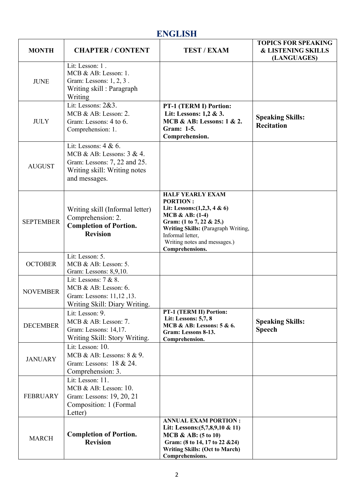# **ENGLISH**

| <b>MONTH</b>     | <b>CHAPTER / CONTENT</b>                                                                                                                 | <b>TEST / EXAM</b>                                                                                                                                                                                                                           | <b>TOPICS FOR SPEAKING</b><br><b>&amp; LISTENING SKILLS</b><br>(LANGUAGES) |
|------------------|------------------------------------------------------------------------------------------------------------------------------------------|----------------------------------------------------------------------------------------------------------------------------------------------------------------------------------------------------------------------------------------------|----------------------------------------------------------------------------|
| <b>JUNE</b>      | Lit: Lesson: 1.<br>MCB & AB: Lesson: 1.<br>Gram: Lessons: 1, 2, 3.<br>Writing skill: Paragraph<br>Writing                                |                                                                                                                                                                                                                                              |                                                                            |
| <b>JULY</b>      | Lit: Lessons: 2&3.<br>MCB & AB: Lesson: 2.<br>Gram: Lessons: 4 to 6.<br>Comprehension: 1.                                                | PT-1 (TERM I) Portion:<br>Lit: Lessons: 1,2 & 3.<br><b>MCB &amp; AB: Lessons: 1 &amp; 2.</b><br>Gram: 1-5.<br>Comprehension.                                                                                                                 | <b>Speaking Skills:</b><br><b>Recitation</b>                               |
| <b>AUGUST</b>    | Lit: Lessons: $4 & 6$ .<br>MCB & AB: Lessons: $3 & 4$ .<br>Gram: Lessons: 7, 22 and 25.<br>Writing skill: Writing notes<br>and messages. |                                                                                                                                                                                                                                              |                                                                            |
| <b>SEPTEMBER</b> | Writing skill (Informal letter)<br>Comprehension: 2.<br><b>Completion of Portion.</b><br><b>Revision</b>                                 | <b>HALF YEARLY EXAM</b><br><b>PORTION:</b><br>Lit: Lessons: $(1,2,3, 4 \& 6)$<br>$MCB & AB: (1-4)$<br>Gram: (1 to 7, 22 & 25.)<br>Writing Skills: (Paragraph Writing,<br>Informal letter,<br>Writing notes and messages.)<br>Comprehensions. |                                                                            |
| <b>OCTOBER</b>   | Lit: Lesson: 5.<br>MCB & AB: Lesson: 5.<br>Gram: Lessons: 8,9,10.                                                                        |                                                                                                                                                                                                                                              |                                                                            |
| <b>NOVEMBER</b>  | Lit: Lessons: $7 & 8$ .<br>MCB & AB: Lesson: 6.<br>Gram: Lessons: 11,12,13.<br>Writing Skill: Diary Writing.                             |                                                                                                                                                                                                                                              |                                                                            |
| <b>DECEMBER</b>  | Lit: Lesson: 9.<br>MCB & AB: Lesson: $7$ .<br>Gram: Lessons: 14,17.<br>Writing Skill: Story Writing.                                     | PT-1 (TERM II) Portion:<br>Lit: Lessons: 5,7, 8<br>MCB & AB: Lessons: $5 & 6$ .<br>Gram: Lessons 8-13.<br>Comprehension.                                                                                                                     | <b>Speaking Skills:</b><br><b>Speech</b>                                   |
| <b>JANUARY</b>   | Lit: Lesson: 10.<br>MCB & AB: Lessons: $8 & 9$ .<br>Gram: Lessons: 18 & 24.<br>Comprehension: 3.                                         |                                                                                                                                                                                                                                              |                                                                            |
| <b>FEBRUARY</b>  | Lit: Lesson: 11.<br>MCB & AB: Lesson: 10.<br>Gram: Lessons: 19, 20, 21<br>Composition: 1 (Formal<br>Letter)                              |                                                                                                                                                                                                                                              |                                                                            |
| <b>MARCH</b>     | <b>Completion of Portion.</b><br><b>Revision</b>                                                                                         | <b>ANNUAL EXAM PORTION:</b><br>Lit: Lessons: $(5,7,8,9,10 \& 11)$<br>MCB & AB: $(5 to 10)$<br>Gram: (8 to 14, 17 to 22 & 24)<br><b>Writing Skills: (Oct to March)</b><br>Comprehensions.                                                     |                                                                            |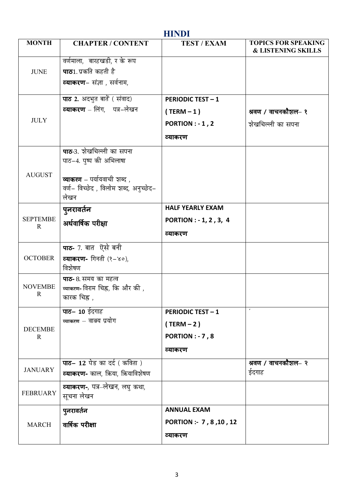| <b>HINDI</b>                   |                                                                                                                                            |                                                                              |                                                             |
|--------------------------------|--------------------------------------------------------------------------------------------------------------------------------------------|------------------------------------------------------------------------------|-------------------------------------------------------------|
| <b>MONTH</b>                   | <b>CHAPTER / CONTENT</b>                                                                                                                   | <b>TEST / EXAM</b>                                                           | <b>TOPICS FOR SPEAKING</b><br><b>&amp; LISTENING SKILLS</b> |
| <b>JUNE</b>                    | वर्णमाला, बारहखडी, र के रूप<br><b>पाठ</b> 1.प्रकति कहती है<br><b>व्याकरण</b> – संज्ञा , सर्वनाम,                                           |                                                                              |                                                             |
| <b>JULY</b>                    | पाठ 2. अदभुत बातें (संवाद)<br><b>व्याकरण</b> – लिंग, पत्र–लेखन                                                                             | <b>PERIODIC TEST - 1</b><br>$(TERM - 1)$<br>PORTION : $-1, 2$<br>व्याकरण     | श्रवण / वाचनकौशल- १<br>शेखचिल्ली का सपना                    |
| <b>AUGUST</b>                  | <b>पाठ</b> -3. शेखचिल्ली का सपना<br>पाठ-4. पुष्प की अभिलाषा<br>व्याकरण - पर्यायवाची शब्द,<br>वर्ण- विच्छेद , विलोम शब्द, अनुच्छेद-<br>लेखन |                                                                              |                                                             |
| <b>SEPTEMBE</b><br>$\mathbf R$ | पुनरावर्तन<br>अर्धवार्षिक परीक्षा                                                                                                          | <b>HALF YEARLY EXAM</b><br>PORTION : - 1, 2, 3, 4<br>व्याकरण                 |                                                             |
| <b>OCTOBER</b>                 | <b>पाठ-</b> 7. बात ऐसे बनी<br><b>व्याकरण-</b> गिनती (१-४०),<br>विशेषण                                                                      |                                                                              |                                                             |
| <b>NOVEMBE</b><br>R            | पाठ- 8. समय का महत्व<br>ब्याकरण- विराम चिह्न, कि और की ,<br>कारक चिह्न ,                                                                   |                                                                              |                                                             |
| <b>DECEMBE</b><br>$\mathbf R$  | <b>पाठ– 10</b> ईदगाह<br>व्याकरण – वाक्य प्रयोग                                                                                             | <b>PERIODIC TEST - 1</b><br>$(TERM - 2)$<br><b>PORTION: - 7,8</b><br>व्याकरण |                                                             |
| <b>JANUARY</b>                 | पाठ- 12 पेड का दर्द (कविता)<br><b>व्याकरण-</b> काल, क्रिया, क्रियाविशेषण                                                                   |                                                                              | श्रवण / वाचनकौशल– २<br>ईदगाह                                |
| <b>FEBRUARY</b>                | <b>व्याकरण-</b> , पत्र–लेखन, लघु कथा,<br>सूचना लेखन                                                                                        |                                                                              |                                                             |
| <b>MARCH</b>                   | पुनरावर्तन<br>वार्षिक परीक्षा                                                                                                              | <b>ANNUAL EXAM</b><br>PORTION :- 7, 8, 10, 12<br>व्याकरण                     |                                                             |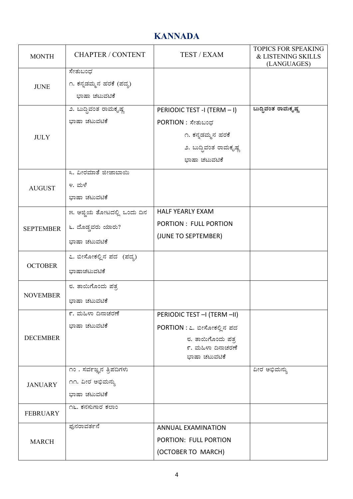## **KANNADA**

| <b>MONTH</b>     | <b>CHAPTER / CONTENT</b>    | TEST / EXAM                        | <b>TOPICS FOR SPEAKING</b><br>& LISTENING SKILLS<br>(LANGUAGES) |
|------------------|-----------------------------|------------------------------------|-----------------------------------------------------------------|
|                  | ಸೇತುಬಂಧ                     |                                    |                                                                 |
| <b>JUNE</b>      | ೧. ಕನ್ನಡಮ್ಮನ ಹರಕೆ (ಪದ್ಯ)    |                                    |                                                                 |
|                  | ಭಾಷಾ ಚಟುವಟಿಕೆ               |                                    |                                                                 |
|                  | ೨. ಬುದ್ಧಿವಂತ ರಾಮಕೃಷ್ಣ       | PERIODIC TEST -I (TERM - I)        | ಬುದ್ಧಿವಂತ ರಾಮಕೃಷ್ಣ                                              |
|                  | ಭಾಷಾ ಚಟುವಟಿಕೆ               | PORTION : ಸೇತುಬಂಧ                  |                                                                 |
| <b>JULY</b>      |                             | ೧. ಕನ್ನಡಮ್ಮನ ಹರಕೆ                  |                                                                 |
|                  |                             | ೨. ಬುದ್ಧಿವಂತ ರಾಮಕೃಷ್ಣ              |                                                                 |
|                  |                             | ಭಾಷಾ ಚಟುವಟಿಕೆ                      |                                                                 |
|                  | ೩. ವೀರಮಾತೆ ಜೀಜಾಬಾಯಿ         |                                    |                                                                 |
| <b>AUGUST</b>    | ೪. ಮಳೆ                      |                                    |                                                                 |
|                  | ಭಾಷಾ ಚಟುವಟಿಕೆ               |                                    |                                                                 |
|                  | ೫. ಅಜ್ಜಿಯ ತೋಟದಲ್ಲಿ ಒಂದು ದಿನ | <b>HALF YEARLY EXAM</b>            |                                                                 |
| <b>SEPTEMBER</b> | ೬. ದೊಡ್ಡವರು ಯಾರು?           | PORTION : FULL PORTION             |                                                                 |
|                  | ಭಾಷಾ ಚಟುವಟಿಕೆ               | (JUNE TO SEPTEMBER)                |                                                                 |
|                  | ೭. ಬೀಸೋಕಲ್ಲಿನ ಪದ (ಪದ್ಯ)     |                                    |                                                                 |
| <b>OCTOBER</b>   | ಭಾಷಾಚಟುವಟಿಕೆ                |                                    |                                                                 |
|                  | ೮. ತಾಯಿಗೊಂದು ಪತ್ರ           |                                    |                                                                 |
| <b>NOVEMBER</b>  | ಭಾಷಾ ಚಟುವಟಿಕೆ               |                                    |                                                                 |
|                  | ೯. ಮಹಿಳಾ ದಿನಾಚರಣೆ           | PERIODIC TEST - (TERM - II)        |                                                                 |
|                  | ಭಾಷಾ ಚಟುವಟಿಕೆ               | PORTION : ೭. ಬೀಸೋಕಲ್ಲಿನ ಪದ         |                                                                 |
| <b>DECEMBER</b>  |                             | ೮. ತಾಯಿಗೊಂದು ಪತ್ರ                  |                                                                 |
|                  |                             | ೯. ಮಹಿಳಾ ದಿನಾಚರಣೆ<br>ಭಾಷಾ ಚಟುವಟಿಕೆ |                                                                 |
|                  | ೧೦ . ಸರ್ವಜ್ಞನ ತ್ರಿಪದಿಗಳು    |                                    | ವೀರ ಅಭಿಮನ್ನು                                                    |
|                  | ೧೧. ವೀರ ಅಭಿಮನ್ಸು            |                                    |                                                                 |
| <b>JANUARY</b>   | ಭಾಷಾ ಚಟುವಟಿಕೆ               |                                    |                                                                 |
|                  | ೧೬. ಕನಸುಗಾರ ಕಲಾಂ            |                                    |                                                                 |
| <b>FEBRUARY</b>  |                             |                                    |                                                                 |
| <b>MARCH</b>     | ಫುನರಾವರ್ತನೆ                 | <b>ANNUAL EXAMINATION</b>          |                                                                 |
|                  |                             | PORTION: FULL PORTION              |                                                                 |
|                  |                             | (OCTOBER TO MARCH)                 |                                                                 |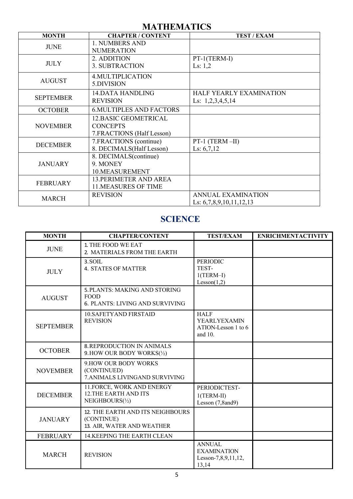#### **MATHEMATICS**

| <b>MONTH</b>     | <b>CHAPTER / CONTENT</b>                                               | <b>TEST / EXAM</b>                                     |
|------------------|------------------------------------------------------------------------|--------------------------------------------------------|
| <b>JUNE</b>      | 1. NUMBERS AND<br><b>NUMERATION</b>                                    |                                                        |
| <b>JULY</b>      | 2. ADDITION<br><b>3. SUBTRACTION</b>                                   | PT-1(TERM-I)<br>Ls: $1,2$                              |
| <b>AUGUST</b>    | <b>4. MULTIPLICATION</b><br>5.DIVISION                                 |                                                        |
| <b>SEPTEMBER</b> | <b>14.DATA HANDLING</b><br><b>REVISION</b>                             | HALF YEARLY EXAMINATION<br>Ls: $1,2,3,4,5,14$          |
| <b>OCTOBER</b>   | <b>6. MULTIPLES AND FACTORS</b>                                        |                                                        |
| <b>NOVEMBER</b>  | 12. BASIC GEOMETRICAL<br><b>CONCEPTS</b><br>7. FRACTIONS (Half Lesson) |                                                        |
| <b>DECEMBER</b>  | 7. FRACTIONS (continue)<br>8. DECIMALS(Half Lesson)                    | $PT-1$ (TERM-II)<br>Ls: $6,7,12$                       |
| <b>JANUARY</b>   | 8. DECIMALS(continue)<br>9. MONEY<br>10.MEASUREMENT                    |                                                        |
| <b>FEBRUARY</b>  | <b>13. PERIMETER AND AREA</b><br><b>11.MEASURES OF TIME</b>            |                                                        |
| <b>MARCH</b>     | <b>REVISION</b>                                                        | <b>ANNUAL EXAMINATION</b><br>Ls: $6,7,8,9,10,11,12,13$ |

#### **SCIENCE**

| <b>MONTH</b>     | <b>CHAPTER/CONTENT</b>                                                                        | <b>TEST/EXAM</b>                                                     | <b>ENRICHMENTACTIVITY</b> |
|------------------|-----------------------------------------------------------------------------------------------|----------------------------------------------------------------------|---------------------------|
| <b>JUNE</b>      | 1. THE FOOD WE EAT<br>2. MATERIALS FROM THE EARTH                                             |                                                                      |                           |
| <b>JULY</b>      | 3. SOIL<br><b>4. STATES OF MATTER</b>                                                         | <b>PERIODIC</b><br>TEST-<br>$1(TERM-I)$<br>Lesson(1,2)               |                           |
| <b>AUGUST</b>    | <b>5. PLANTS: MAKING AND STORING</b><br><b>FOOD</b><br><b>6. PLANTS: LIVING AND SURVIVING</b> |                                                                      |                           |
| <b>SEPTEMBER</b> | <b>10.SAFETYAND FIRSTAID</b><br><b>REVISION</b>                                               | <b>HALF</b><br><b>YEARLYEXAMIN</b><br>ATION-Lesson 1 to 6<br>and 10. |                           |
| <b>OCTOBER</b>   | <b>8. REPRODUCTION IN ANIMALS</b><br>9. HOW OUR BODY WORKS(1/2)                               |                                                                      |                           |
| <b>NOVEMBER</b>  | 9. HOW OUR BODY WORKS<br>(CONTINUED)<br>7. ANIMALS LIVINGAND SURVIVING                        |                                                                      |                           |
| <b>DECEMBER</b>  | 11. FORCE, WORK AND ENERGY<br><b>12.THE EARTH AND ITS</b><br>NEIGHBOURS(1/2)                  | PERIODICTEST-<br>$1(TERM-II)$<br>Lesson (7,8and9)                    |                           |
| <b>JANUARY</b>   | 12. THE EARTH AND ITS NEIGHBOURS<br>(CONTINUE)<br>13. AIR, WATER AND WEATHER                  |                                                                      |                           |
| <b>FEBRUARY</b>  | 14. KEEPING THE EARTH CLEAN                                                                   |                                                                      |                           |
| <b>MARCH</b>     | <b>REVISION</b>                                                                               | <b>ANNUAL</b><br><b>EXAMINATION</b><br>Lesson-7,8,9,11,12,<br>13,14  |                           |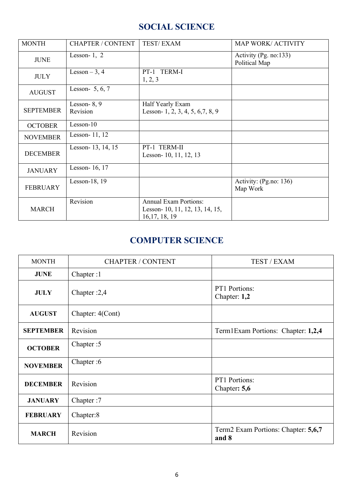## **SOCIAL SCIENCE**

| <b>MONTH</b>     | <b>CHAPTER / CONTENT</b>          | <b>TEST/EXAM</b>                                                                  | <b>MAP WORK/ ACTIVITY</b>              |
|------------------|-----------------------------------|-----------------------------------------------------------------------------------|----------------------------------------|
| <b>JUNE</b>      | Lesson-1, $2$                     |                                                                                   | Activity (Pg. no:133)<br>Political Map |
| <b>JULY</b>      | Lesson $-3, 4$                    | PT-1 TERM-I<br>1, 2, 3                                                            |                                        |
| <b>AUGUST</b>    | Lesson- $5, 6, 7$                 |                                                                                   |                                        |
| <b>SEPTEMBER</b> | Lesson- $8, 9$<br><b>Revision</b> | Half Yearly Exam<br>Lesson- 1, 2, 3, 4, 5, 6, 7, 8, 9                             |                                        |
| <b>OCTOBER</b>   | $Lesson-10$                       |                                                                                   |                                        |
| <b>NOVEMBER</b>  | Lesson- 11, 12                    |                                                                                   |                                        |
| <b>DECEMBER</b>  | Lesson- 13, 14, 15                | PT-1 TERM-II<br>Lesson-10, 11, 12, 13                                             |                                        |
| <b>JANUARY</b>   | Lesson-16, 17                     |                                                                                   |                                        |
| <b>FEBRUARY</b>  | Lesson-18, $19$                   |                                                                                   | Activity: (Pg.no: 136)<br>Map Work     |
| <b>MARCH</b>     | Revision                          | <b>Annual Exam Portions:</b><br>Lesson- 10, 11, 12, 13, 14, 15,<br>16, 17, 18, 19 |                                        |

### **COMPUTER SCIENCE**

| <b>MONTH</b>     | <b>CHAPTER / CONTENT</b> | TEST / EXAM                                  |
|------------------|--------------------------|----------------------------------------------|
| <b>JUNE</b>      | Chapter:1                |                                              |
| <b>JULY</b>      | Chapter :2,4             | PT1 Portions:<br>Chapter: 1,2                |
| <b>AUGUST</b>    | Chapter: 4(Cont)         |                                              |
| <b>SEPTEMBER</b> | Revision                 | Term1Exam Portions: Chapter: 1,2,4           |
| <b>OCTOBER</b>   | Chapter: 5               |                                              |
| <b>NOVEMBER</b>  | Chapter: 6               |                                              |
| <b>DECEMBER</b>  | Revision                 | PT1 Portions:<br>Chapter: 5,6                |
| <b>JANUARY</b>   | Chapter:7                |                                              |
| <b>FEBRUARY</b>  | Chapter:8                |                                              |
| <b>MARCH</b>     | Revision                 | Term2 Exam Portions: Chapter: 5,6,7<br>and 8 |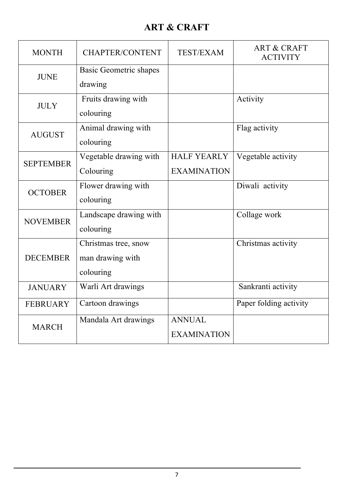# **ART & CRAFT**

| <b>MONTH</b>     | <b>CHAPTER/CONTENT</b>        | <b>TEST/EXAM</b>   | <b>ART &amp; CRAFT</b><br><b>ACTIVITY</b> |
|------------------|-------------------------------|--------------------|-------------------------------------------|
| <b>JUNE</b>      | <b>Basic Geometric shapes</b> |                    |                                           |
|                  | drawing                       |                    |                                           |
| <b>JULY</b>      | Fruits drawing with           |                    | Activity                                  |
|                  | colouring                     |                    |                                           |
| <b>AUGUST</b>    | Animal drawing with           |                    | Flag activity                             |
|                  | colouring                     |                    |                                           |
| <b>SEPTEMBER</b> | Vegetable drawing with        | <b>HALF YEARLY</b> | Vegetable activity                        |
|                  | Colouring                     | <b>EXAMINATION</b> |                                           |
| <b>OCTOBER</b>   | Flower drawing with           |                    | Diwali activity                           |
|                  | colouring                     |                    |                                           |
| <b>NOVEMBER</b>  | Landscape drawing with        |                    | Collage work                              |
|                  | colouring                     |                    |                                           |
|                  | Christmas tree, snow          |                    | Christmas activity                        |
| <b>DECEMBER</b>  | man drawing with              |                    |                                           |
|                  | colouring                     |                    |                                           |
| <b>JANUARY</b>   | Warli Art drawings            |                    | Sankranti activity                        |
| <b>FEBRUARY</b>  | Cartoon drawings              |                    | Paper folding activity                    |
| <b>MARCH</b>     | Mandala Art drawings          | <b>ANNUAL</b>      |                                           |
|                  |                               | <b>EXAMINATION</b> |                                           |